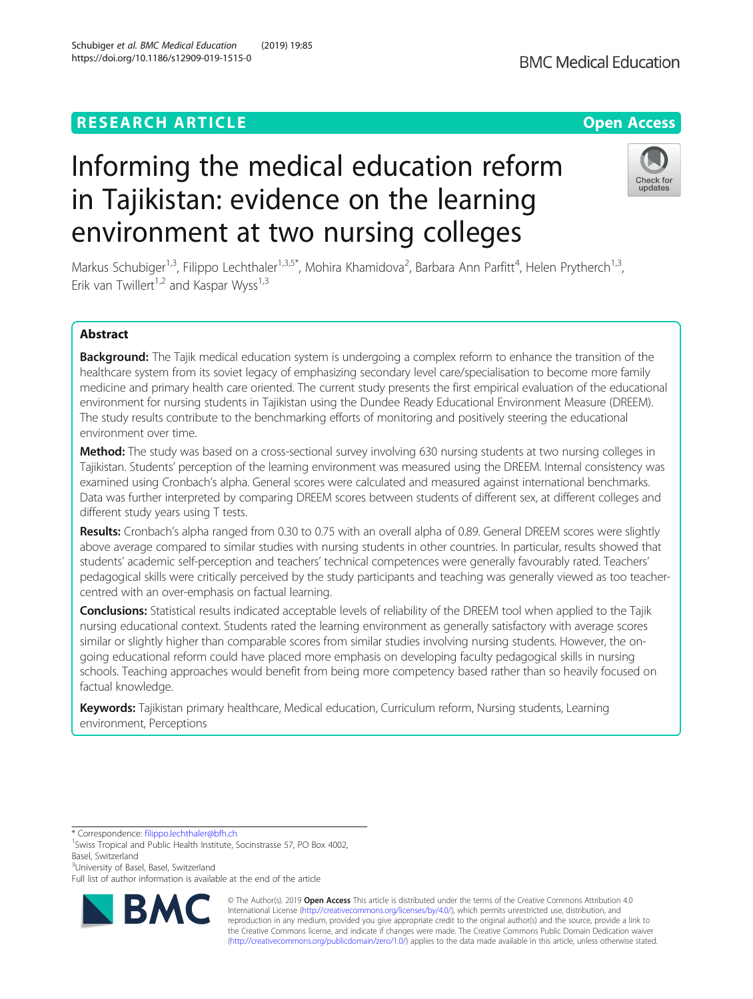# **RESEARCH ARTICLE Example 2014 12:30 The Contract of Contract ACCESS**

# Informing the medical education reform in Tajikistan: evidence on the learning environment at two nursing colleges

Markus Schubiger<sup>1,3</sup>, Filippo Lechthaler<sup>1,3,5\*</sup>, Mohira Khamidova<sup>2</sup>, Barbara Ann Parfitt<sup>4</sup>, Helen Prytherch<sup>1,3</sup>, Erik van Twillert<sup>1,2</sup> and Kaspar Wyss<sup>1,3</sup>

## Abstract

Background: The Tajik medical education system is undergoing a complex reform to enhance the transition of the healthcare system from its soviet legacy of emphasizing secondary level care/specialisation to become more family medicine and primary health care oriented. The current study presents the first empirical evaluation of the educational environment for nursing students in Tajikistan using the Dundee Ready Educational Environment Measure (DREEM). The study results contribute to the benchmarking efforts of monitoring and positively steering the educational environment over time.

**Method:** The study was based on a cross-sectional survey involving 630 nursing students at two nursing colleges in Tajikistan. Students' perception of the learning environment was measured using the DREEM. Internal consistency was examined using Cronbach's alpha. General scores were calculated and measured against international benchmarks. Data was further interpreted by comparing DREEM scores between students of different sex, at different colleges and different study years using T tests.

Results: Cronbach's alpha ranged from 0.30 to 0.75 with an overall alpha of 0.89. General DREEM scores were slightly above average compared to similar studies with nursing students in other countries. In particular, results showed that students' academic self-perception and teachers' technical competences were generally favourably rated. Teachers' pedagogical skills were critically perceived by the study participants and teaching was generally viewed as too teachercentred with an over-emphasis on factual learning.

Conclusions: Statistical results indicated acceptable levels of reliability of the DREEM tool when applied to the Tajik nursing educational context. Students rated the learning environment as generally satisfactory with average scores similar or slightly higher than comparable scores from similar studies involving nursing students. However, the ongoing educational reform could have placed more emphasis on developing faculty pedagogical skills in nursing schools. Teaching approaches would benefit from being more competency based rather than so heavily focused on factual knowledge.

Keywords: Tajikistan primary healthcare, Medical education, Curriculum reform, Nursing students, Learning environment, Perceptions

\* Correspondence: [filippo.lechthaler@bfh.ch](mailto:filippo.lechthaler@bfh.ch) <sup>1</sup>

<sup>1</sup> Swiss Tropical and Public Health Institute, Socinstrasse 57, PO Box 4002, Basel, Switzerland

<sup>3</sup>University of Basel, Basel, Switzerland

RA

Full list of author information is available at the end of the article



© The Author(s). 2019 **Open Access** This article is distributed under the terms of the Creative Commons Attribution 4.0 International License [\(http://creativecommons.org/licenses/by/4.0/](http://creativecommons.org/licenses/by/4.0/)), which permits unrestricted use, distribution, and reproduction in any medium, provided you give appropriate credit to the original author(s) and the source, provide a link to the Creative Commons license, and indicate if changes were made. The Creative Commons Public Domain Dedication waiver [\(http://creativecommons.org/publicdomain/zero/1.0/](http://creativecommons.org/publicdomain/zero/1.0/)) applies to the data made available in this article, unless otherwise stated.



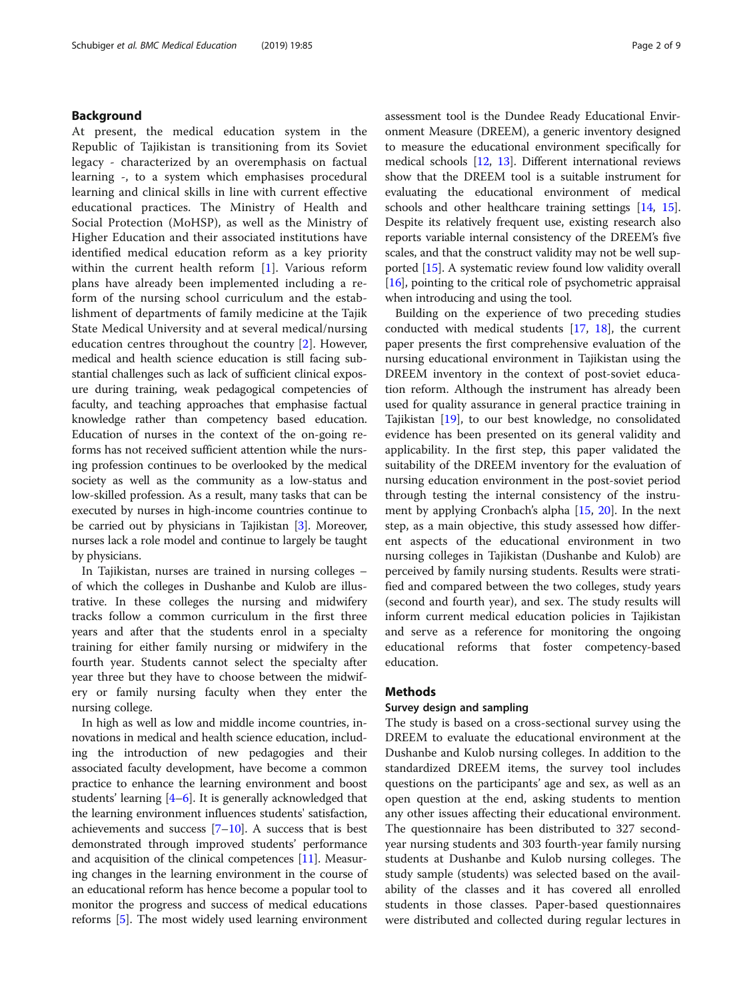## Background

At present, the medical education system in the Republic of Tajikistan is transitioning from its Soviet legacy - characterized by an overemphasis on factual learning -, to a system which emphasises procedural learning and clinical skills in line with current effective educational practices. The Ministry of Health and Social Protection (MoHSP), as well as the Ministry of Higher Education and their associated institutions have identified medical education reform as a key priority within the current health reform [[1\]](#page-7-0). Various reform plans have already been implemented including a reform of the nursing school curriculum and the establishment of departments of family medicine at the Tajik State Medical University and at several medical/nursing education centres throughout the country [\[2](#page-7-0)]. However, medical and health science education is still facing substantial challenges such as lack of sufficient clinical exposure during training, weak pedagogical competencies of faculty, and teaching approaches that emphasise factual knowledge rather than competency based education. Education of nurses in the context of the on-going reforms has not received sufficient attention while the nursing profession continues to be overlooked by the medical society as well as the community as a low-status and low-skilled profession. As a result, many tasks that can be executed by nurses in high-income countries continue to be carried out by physicians in Tajikistan [[3\]](#page-7-0). Moreover, nurses lack a role model and continue to largely be taught by physicians.

In Tajikistan, nurses are trained in nursing colleges – of which the colleges in Dushanbe and Kulob are illustrative. In these colleges the nursing and midwifery tracks follow a common curriculum in the first three years and after that the students enrol in a specialty training for either family nursing or midwifery in the fourth year. Students cannot select the specialty after year three but they have to choose between the midwifery or family nursing faculty when they enter the nursing college.

In high as well as low and middle income countries, innovations in medical and health science education, including the introduction of new pedagogies and their associated faculty development, have become a common practice to enhance the learning environment and boost students' learning [\[4](#page-7-0)–[6](#page-7-0)]. It is generally acknowledged that the learning environment influences students' satisfaction, achievements and success [\[7](#page-7-0)–[10](#page-7-0)]. A success that is best demonstrated through improved students' performance and acquisition of the clinical competences [[11](#page-7-0)]. Measuring changes in the learning environment in the course of an educational reform has hence become a popular tool to monitor the progress and success of medical educations reforms [[5](#page-7-0)]. The most widely used learning environment assessment tool is the Dundee Ready Educational Environment Measure (DREEM), a generic inventory designed to measure the educational environment specifically for medical schools [\[12](#page-7-0), [13](#page-8-0)]. Different international reviews show that the DREEM tool is a suitable instrument for evaluating the educational environment of medical schools and other healthcare training settings [[14](#page-8-0), [15](#page-8-0)]. Despite its relatively frequent use, existing research also reports variable internal consistency of the DREEM's five scales, and that the construct validity may not be well supported [[15\]](#page-8-0). A systematic review found low validity overall [[16](#page-8-0)], pointing to the critical role of psychometric appraisal when introducing and using the tool.

Building on the experience of two preceding studies conducted with medical students [[17,](#page-8-0) [18\]](#page-8-0), the current paper presents the first comprehensive evaluation of the nursing educational environment in Tajikistan using the DREEM inventory in the context of post-soviet education reform. Although the instrument has already been used for quality assurance in general practice training in Tajikistan [\[19](#page-8-0)], to our best knowledge, no consolidated evidence has been presented on its general validity and applicability. In the first step, this paper validated the suitability of the DREEM inventory for the evaluation of nursing education environment in the post-soviet period through testing the internal consistency of the instrument by applying Cronbach's alpha [[15,](#page-8-0) [20](#page-8-0)]. In the next step, as a main objective, this study assessed how different aspects of the educational environment in two nursing colleges in Tajikistan (Dushanbe and Kulob) are perceived by family nursing students. Results were stratified and compared between the two colleges, study years (second and fourth year), and sex. The study results will inform current medical education policies in Tajikistan and serve as a reference for monitoring the ongoing educational reforms that foster competency-based education.

## Methods

## Survey design and sampling

The study is based on a cross-sectional survey using the DREEM to evaluate the educational environment at the Dushanbe and Kulob nursing colleges. In addition to the standardized DREEM items, the survey tool includes questions on the participants' age and sex, as well as an open question at the end, asking students to mention any other issues affecting their educational environment. The questionnaire has been distributed to 327 secondyear nursing students and 303 fourth-year family nursing students at Dushanbe and Kulob nursing colleges. The study sample (students) was selected based on the availability of the classes and it has covered all enrolled students in those classes. Paper-based questionnaires were distributed and collected during regular lectures in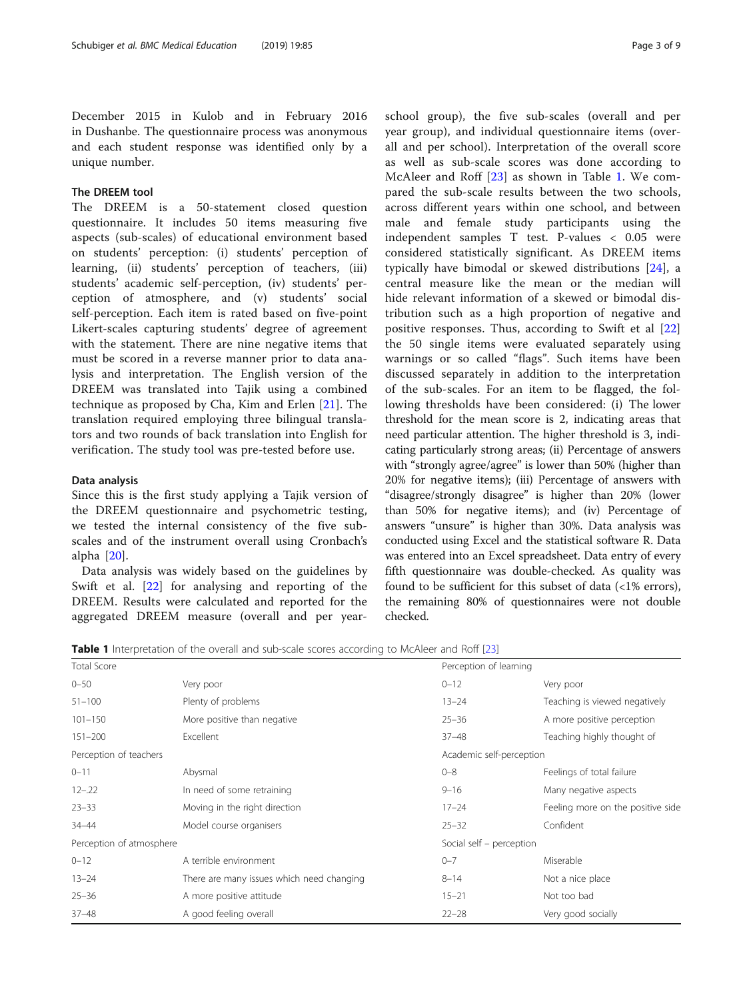December 2015 in Kulob and in February 2016 in Dushanbe. The questionnaire process was anonymous and each student response was identified only by a unique number.

## The DREEM tool

The DREEM is a 50-statement closed question questionnaire. It includes 50 items measuring five aspects (sub-scales) of educational environment based on students' perception: (i) students' perception of learning, (ii) students' perception of teachers, (iii) students' academic self-perception, (iv) students' perception of atmosphere, and (v) students' social self-perception. Each item is rated based on five-point Likert-scales capturing students' degree of agreement with the statement. There are nine negative items that must be scored in a reverse manner prior to data analysis and interpretation. The English version of the DREEM was translated into Tajik using a combined technique as proposed by Cha, Kim and Erlen [[21\]](#page-8-0). The translation required employing three bilingual translators and two rounds of back translation into English for verification. The study tool was pre-tested before use.

## Data analysis

Since this is the first study applying a Tajik version of the DREEM questionnaire and psychometric testing, we tested the internal consistency of the five subscales and of the instrument overall using Cronbach's alpha [\[20](#page-8-0)].

Data analysis was widely based on the guidelines by Swift et al. [[22\]](#page-8-0) for analysing and reporting of the DREEM. Results were calculated and reported for the aggregated DREEM measure (overall and per yearschool group), the five sub-scales (overall and per year group), and individual questionnaire items (overall and per school). Interpretation of the overall score as well as sub-scale scores was done according to McAleer and Roff [\[23](#page-8-0)] as shown in Table 1. We compared the sub-scale results between the two schools, across different years within one school, and between male and female study participants using the independent samples T test. P-values < 0.05 were considered statistically significant. As DREEM items typically have bimodal or skewed distributions [\[24](#page-8-0)], a central measure like the mean or the median will hide relevant information of a skewed or bimodal distribution such as a high proportion of negative and positive responses. Thus, according to Swift et al [\[22](#page-8-0)] the 50 single items were evaluated separately using warnings or so called "flags". Such items have been discussed separately in addition to the interpretation of the sub-scales. For an item to be flagged, the following thresholds have been considered: (i) The lower threshold for the mean score is 2, indicating areas that need particular attention. The higher threshold is 3, indicating particularly strong areas; (ii) Percentage of answers with "strongly agree/agree" is lower than 50% (higher than 20% for negative items); (iii) Percentage of answers with "disagree/strongly disagree" is higher than 20% (lower than 50% for negative items); and (iv) Percentage of answers "unsure" is higher than 30%. Data analysis was conducted using Excel and the statistical software R. Data was entered into an Excel spreadsheet. Data entry of every fifth questionnaire was double-checked. As quality was found to be sufficient for this subset of data (<1% errors), the remaining 80% of questionnaires were not double checked.

Table 1 Interpretation of the overall and sub-scale scores according to McAleer and Roff [[23\]](#page-8-0)

| <b>Total Score</b>       |                                           | Perception of learning   |                                   |
|--------------------------|-------------------------------------------|--------------------------|-----------------------------------|
| $0 - 50$                 | Very poor                                 | $0 - 12$                 | Very poor                         |
| $51 - 100$               | Plenty of problems                        | $13 - 24$                | Teaching is viewed negatively     |
| $101 - 150$              | More positive than negative               | $25 - 36$                | A more positive perception        |
| $151 - 200$              | Excellent                                 | $37 - 48$                | Teaching highly thought of        |
| Perception of teachers   |                                           | Academic self-perception |                                   |
| $0 - 11$                 | Abysmal                                   | $0 - 8$                  | Feelings of total failure         |
| $12 - 22$                | In need of some retraining                | $9 - 16$                 | Many negative aspects             |
| $23 - 33$                | Moving in the right direction             | $17 - 24$                | Feeling more on the positive side |
| 34-44                    | Model course organisers                   | $25 - 32$                | Confident                         |
| Perception of atmosphere |                                           | Social self - perception |                                   |
| $0 - 12$                 | A terrible environment                    | $0 - 7$                  | Miserable                         |
| $13 - 24$                | There are many issues which need changing | $8 - 14$                 | Not a nice place                  |
| $25 - 36$                | A more positive attitude                  | $15 - 21$                | Not too bad                       |
| $37 - 48$                | A good feeling overall                    | $22 - 28$                | Very good socially                |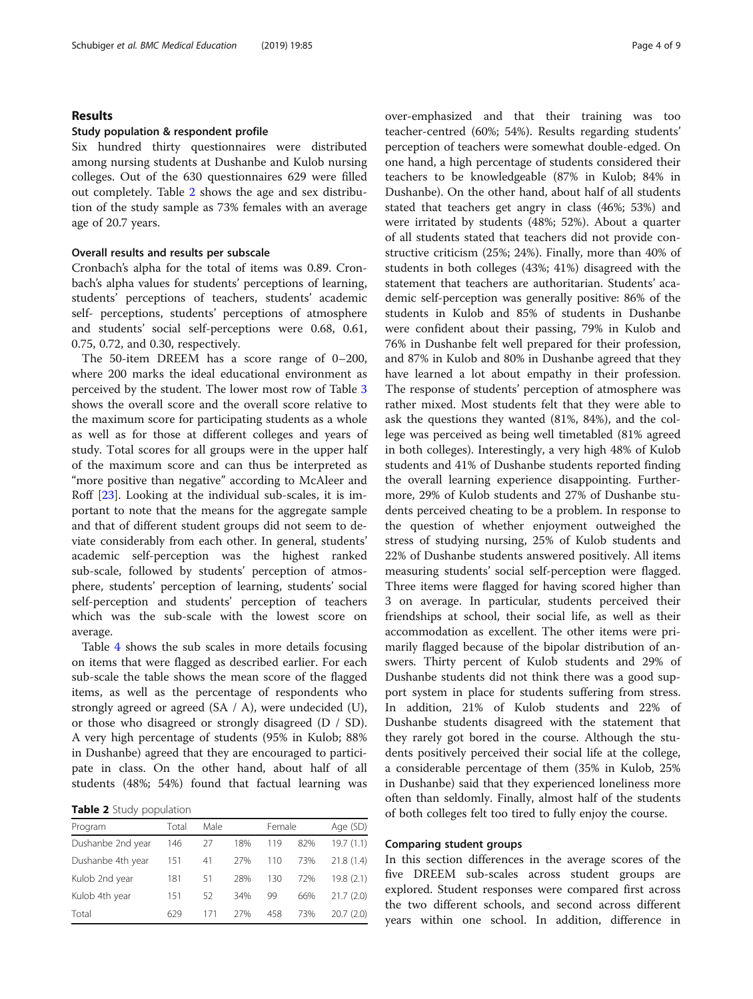## Results

### Study population & respondent profile

Six hundred thirty questionnaires were distributed among nursing students at Dushanbe and Kulob nursing colleges. Out of the 630 questionnaires 629 were filled out completely. Table 2 shows the age and sex distribution of the study sample as 73% females with an average age of 20.7 years.

## Overall results and results per subscale

Cronbach's alpha for the total of items was 0.89. Cronbach's alpha values for students' perceptions of learning, students' perceptions of teachers, students' academic self- perceptions, students' perceptions of atmosphere and students' social self-perceptions were 0.68, 0.61, 0.75, 0.72, and 0.30, respectively.

The 50-item DREEM has a score range of 0–200, where 200 marks the ideal educational environment as perceived by the student. The lower most row of Table [3](#page-4-0) shows the overall score and the overall score relative to the maximum score for participating students as a whole as well as for those at different colleges and years of study. Total scores for all groups were in the upper half of the maximum score and can thus be interpreted as "more positive than negative" according to McAleer and Roff [[23](#page-8-0)]. Looking at the individual sub-scales, it is important to note that the means for the aggregate sample and that of different student groups did not seem to deviate considerably from each other. In general, students' academic self-perception was the highest ranked sub-scale, followed by students' perception of atmosphere, students' perception of learning, students' social self-perception and students' perception of teachers which was the sub-scale with the lowest score on average.

Table [4](#page-5-0) shows the sub scales in more details focusing on items that were flagged as described earlier. For each sub-scale the table shows the mean score of the flagged items, as well as the percentage of respondents who strongly agreed or agreed (SA / A), were undecided (U), or those who disagreed or strongly disagreed (D / SD). A very high percentage of students (95% in Kulob; 88% in Dushanbe) agreed that they are encouraged to participate in class. On the other hand, about half of all students (48%; 54%) found that factual learning was

Table 2 Study population

| Program           | Total | Male |     | Female |     | Age (SD)   |  |  |
|-------------------|-------|------|-----|--------|-----|------------|--|--|
| Dushanbe 2nd year | 146   | 27   | 18% | 119    | 82% | 19.7(1.1)  |  |  |
| Dushanbe 4th year | 151   | 41   | 27% | 110    | 73% | 21.8(1.4)  |  |  |
| Kulob 2nd year    | 181   | 51   | 28% | 130    | 72% | 19.8 (2.1) |  |  |
| Kulob 4th year    | 151   | 52   | 34% | 99     | 66% | 21.7(2.0)  |  |  |
| Total             | 629   | 171  | 27% | 458    | 73% | 20.7(2.0)  |  |  |

over-emphasized and that their training was too teacher-centred (60%; 54%). Results regarding students' perception of teachers were somewhat double-edged. On one hand, a high percentage of students considered their teachers to be knowledgeable (87% in Kulob; 84% in Dushanbe). On the other hand, about half of all students stated that teachers get angry in class (46%; 53%) and were irritated by students (48%; 52%). About a quarter of all students stated that teachers did not provide constructive criticism (25%; 24%). Finally, more than 40% of students in both colleges (43%; 41%) disagreed with the statement that teachers are authoritarian. Students' academic self-perception was generally positive: 86% of the students in Kulob and 85% of students in Dushanbe were confident about their passing, 79% in Kulob and 76% in Dushanbe felt well prepared for their profession, and 87% in Kulob and 80% in Dushanbe agreed that they have learned a lot about empathy in their profession. The response of students' perception of atmosphere was rather mixed. Most students felt that they were able to ask the questions they wanted (81%, 84%), and the college was perceived as being well timetabled (81% agreed in both colleges). Interestingly, a very high 48% of Kulob students and 41% of Dushanbe students reported finding the overall learning experience disappointing. Furthermore, 29% of Kulob students and 27% of Dushanbe students perceived cheating to be a problem. In response to the question of whether enjoyment outweighed the stress of studying nursing, 25% of Kulob students and 22% of Dushanbe students answered positively. All items measuring students' social self-perception were flagged. Three items were flagged for having scored higher than 3 on average. In particular, students perceived their friendships at school, their social life, as well as their accommodation as excellent. The other items were primarily flagged because of the bipolar distribution of answers. Thirty percent of Kulob students and 29% of Dushanbe students did not think there was a good support system in place for students suffering from stress. In addition, 21% of Kulob students and 22% of Dushanbe students disagreed with the statement that they rarely got bored in the course. Although the students positively perceived their social life at the college, a considerable percentage of them (35% in Kulob, 25% in Dushanbe) said that they experienced loneliness more often than seldomly. Finally, almost half of the students of both colleges felt too tired to fully enjoy the course.

## Comparing student groups

In this section differences in the average scores of the five DREEM sub-scales across student groups are explored. Student responses were compared first across the two different schools, and second across different years within one school. In addition, difference in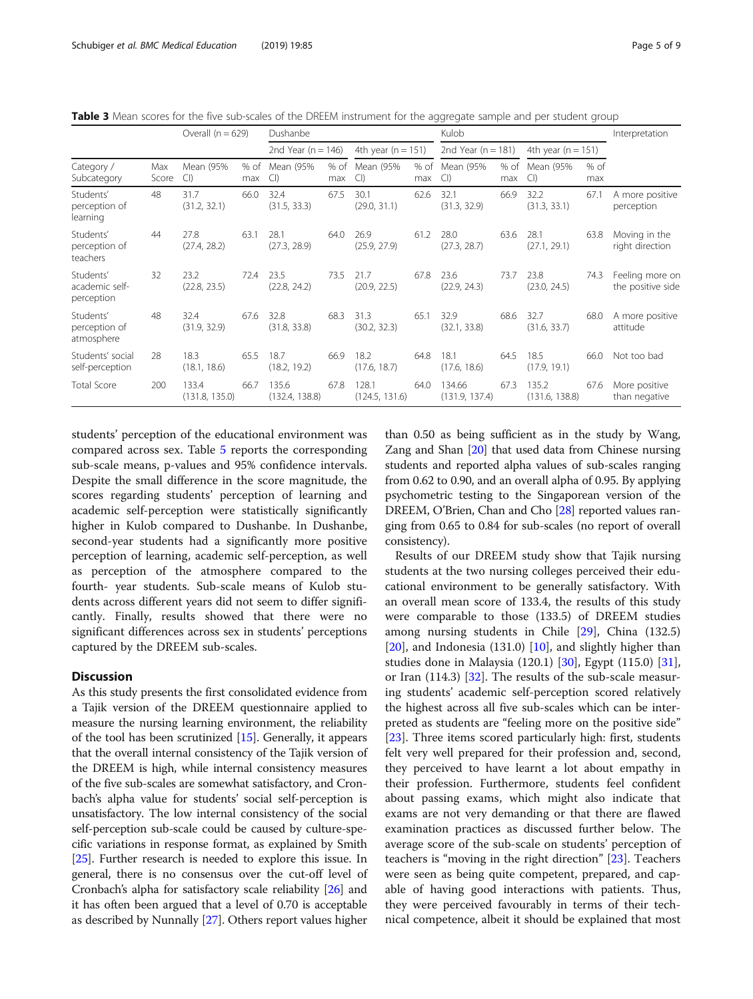<span id="page-4-0"></span>Table 3 Mean scores for the five sub-scales of the DREEM instrument for the aggregate sample and per student group

|                                           |              | Overall $(n = 629)$     |             | Dushanbe                |             |                         |             | Kulob                    | Interpretation |                         |               |                                      |
|-------------------------------------------|--------------|-------------------------|-------------|-------------------------|-------------|-------------------------|-------------|--------------------------|----------------|-------------------------|---------------|--------------------------------------|
|                                           |              |                         |             | 2nd Year ( $n = 146$ )  |             | 4th year ( $n = 151$ )  |             | 2nd Year ( $n = 181$ )   |                | 4th year ( $n = 151$ )  |               |                                      |
| Category /<br>Subcategory                 | Max<br>Score | Mean (95%<br>Cl         | % of<br>max | Mean (95%<br>Cl         | % of<br>max | Mean (95%<br>Cl         | % of<br>max | Mean (95%<br>Cl          | % of<br>max    | Mean (95%<br>Cl         | $%$ of<br>max |                                      |
| Students'<br>perception of<br>learning    | 48           | 31.7<br>(31.2, 32.1)    | 66.0        | 32.4<br>(31.5, 33.3)    | 67.5        | 30.1<br>(29.0, 31.1)    | 62.6        | 32.1<br>(31.3, 32.9)     | 66.9           | 32.2<br>(31.3, 33.1)    | 67.1          | A more positive<br>perception        |
| Students'<br>perception of<br>teachers    | 44           | 27.8<br>(27.4, 28.2)    | 63.1        | 28.1<br>(27.3, 28.9)    | 64.0        | 26.9<br>(25.9, 27.9)    | 61.2        | 28.0<br>(27.3, 28.7)     | 63.6           | 28.1<br>(27.1, 29.1)    | 63.8          | Moving in the<br>right direction     |
| Students'<br>academic self-<br>perception | 32           | 23.2<br>(22.8, 23.5)    | 72.4        | 23.5<br>(22.8, 24.2)    | 73.5        | 21.7<br>(20.9, 22.5)    | 67.8        | 23.6<br>(22.9, 24.3)     | 73.7           | 23.8<br>(23.0, 24.5)    | 74.3          | Feeling more or<br>the positive side |
| Students'<br>perception of<br>atmosphere  | 48           | 32.4<br>(31.9, 32.9)    | 67.6        | 32.8<br>(31.8, 33.8)    | 68.3        | 31.3<br>(30.2, 32.3)    | 65.1        | 32.9<br>(32.1, 33.8)     | 68.6           | 32.7<br>(31.6, 33.7)    | 68.0          | A more positive<br>attitude          |
| Students' social<br>self-perception       | 28           | 18.3<br>(18.1, 18.6)    | 65.5        | 18.7<br>(18.2, 19.2)    | 66.9        | 18.2<br>(17.6, 18.7)    | 64.8        | 18.1<br>(17.6, 18.6)     | 64.5           | 18.5<br>(17.9, 19.1)    | 66.0          | Not too bad                          |
| <b>Total Score</b>                        | 200          | 133.4<br>(131.8, 135.0) | 66.7        | 135.6<br>(132.4, 138.8) | 67.8        | 128.1<br>(124.5, 131.6) | 64.0        | 134.66<br>(131.9, 137.4) | 67.3           | 135.2<br>(131.6, 138.8) | 67.6          | More positive<br>than negative       |

students' perception of the educational environment was compared across sex. Table [5](#page-6-0) reports the corresponding sub-scale means, p-values and 95% confidence intervals. Despite the small difference in the score magnitude, the scores regarding students' perception of learning and academic self-perception were statistically significantly higher in Kulob compared to Dushanbe. In Dushanbe, second-year students had a significantly more positive perception of learning, academic self-perception, as well as perception of the atmosphere compared to the fourth- year students. Sub-scale means of Kulob students across different years did not seem to differ significantly. Finally, results showed that there were no significant differences across sex in students' perceptions captured by the DREEM sub-scales.

## **Discussion**

As this study presents the first consolidated evidence from a Tajik version of the DREEM questionnaire applied to measure the nursing learning environment, the reliability of the tool has been scrutinized [\[15\]](#page-8-0). Generally, it appears that the overall internal consistency of the Tajik version of the DREEM is high, while internal consistency measures of the five sub-scales are somewhat satisfactory, and Cronbach's alpha value for students' social self-perception is unsatisfactory. The low internal consistency of the social self-perception sub-scale could be caused by culture-specific variations in response format, as explained by Smith [[25](#page-8-0)]. Further research is needed to explore this issue. In general, there is no consensus over the cut-off level of Cronbach's alpha for satisfactory scale reliability [\[26\]](#page-8-0) and it has often been argued that a level of 0.70 is acceptable as described by Nunnally [[27](#page-8-0)]. Others report values higher

than 0.50 as being sufficient as in the study by Wang, Zang and Shan [\[20\]](#page-8-0) that used data from Chinese nursing students and reported alpha values of sub-scales ranging from 0.62 to 0.90, and an overall alpha of 0.95. By applying psychometric testing to the Singaporean version of the DREEM, O'Brien, Chan and Cho [\[28\]](#page-8-0) reported values ranging from 0.65 to 0.84 for sub-scales (no report of overall consistency).

Results of our DREEM study show that Tajik nursing students at the two nursing colleges perceived their educational environment to be generally satisfactory. With an overall mean score of 133.4, the results of this study were comparable to those (133.5) of DREEM studies among nursing students in Chile [\[29](#page-8-0)], China (132.5) [[20\]](#page-8-0), and Indonesia (131.0) [[10\]](#page-7-0), and slightly higher than studies done in Malaysia (120.1) [\[30](#page-8-0)], Egypt (115.0) [\[31](#page-8-0)], or Iran (114.3) [[32\]](#page-8-0). The results of the sub-scale measuring students' academic self-perception scored relatively the highest across all five sub-scales which can be interpreted as students are "feeling more on the positive side" [[23\]](#page-8-0). Three items scored particularly high: first, students felt very well prepared for their profession and, second, they perceived to have learnt a lot about empathy in their profession. Furthermore, students feel confident about passing exams, which might also indicate that exams are not very demanding or that there are flawed examination practices as discussed further below. The average score of the sub-scale on students' perception of teachers is "moving in the right direction" [\[23](#page-8-0)]. Teachers were seen as being quite competent, prepared, and capable of having good interactions with patients. Thus, they were perceived favourably in terms of their technical competence, albeit it should be explained that most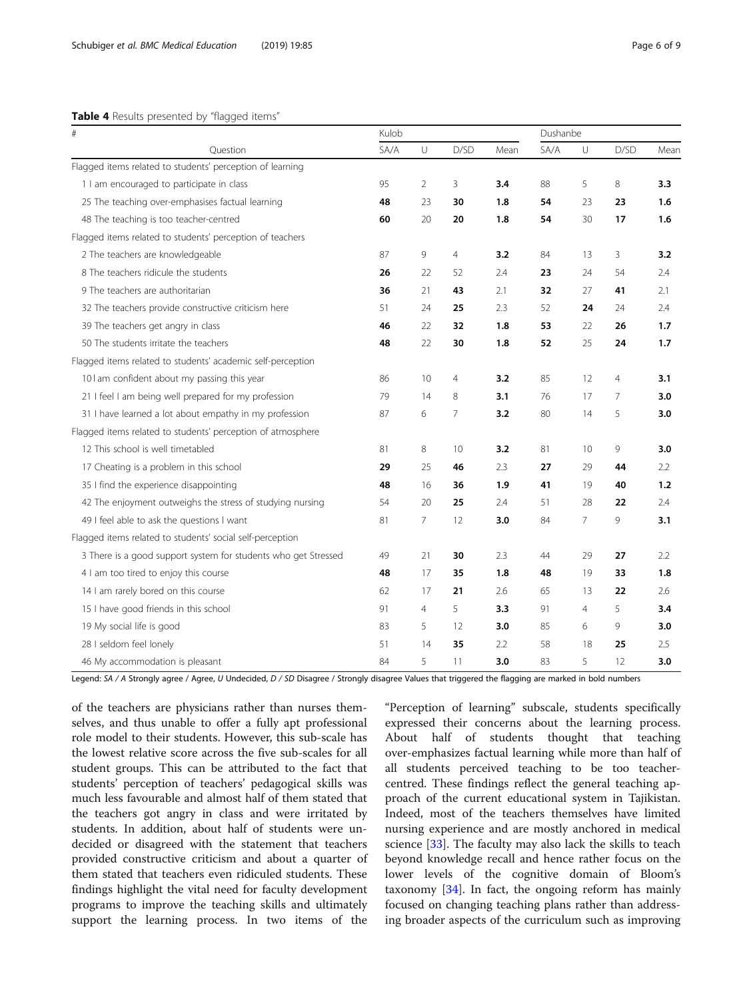## <span id="page-5-0"></span>Table 4 Results presented by "flagged items"

| $\#$                                                           | Kulob |                |                | Dushanbe |      |        |                |      |
|----------------------------------------------------------------|-------|----------------|----------------|----------|------|--------|----------------|------|
| Ouestion                                                       | SA/A  | $\cup$         | D/SD           | Mean     | SA/A | $\cup$ | D/SD           | Mear |
| Flagged items related to students' perception of learning      |       |                |                |          |      |        |                |      |
| 1 I am encouraged to participate in class                      | 95    | $\overline{2}$ | 3              | 3.4      | 88   | 5      | 8              | 3.3  |
| 25 The teaching over-emphasises factual learning               | 48    | 23             | 30             | 1.8      | 54   | 23     | 23             | 1.6  |
| 48 The teaching is too teacher-centred                         | 60    | 20             | 20             | 1.8      | 54   | 30     | 17             | 1.6  |
| Flagged items related to students' perception of teachers      |       |                |                |          |      |        |                |      |
| 2 The teachers are knowledgeable                               | 87    | 9              | 4              | 3.2      | 84   | 13     | 3              | 3.2  |
| 8 The teachers ridicule the students                           | 26    | 22             | 52             | 2.4      | 23   | 24     | 54             | 2.4  |
| 9 The teachers are authoritarian                               | 36    | 21             | 43             | 2.1      | 32   | 27     | 41             | 2.1  |
| 32 The teachers provide constructive criticism here            | 51    | 24             | 25             | 2.3      | 52   | 24     | 24             | 2.4  |
| 39 The teachers get angry in class                             | 46    | 22             | 32             | 1.8      | 53   | 22     | 26             | 1.7  |
| 50 The students irritate the teachers                          | 48    | 22             | 30             | 1.8      | 52   | 25     | 24             | 1.7  |
| Flagged items related to students' academic self-perception    |       |                |                |          |      |        |                |      |
| 10 I am confident about my passing this year                   | 86    | 10             | $\overline{4}$ | 3.2      | 85   | 12     | $\overline{4}$ | 3.1  |
| 21 I feel I am being well prepared for my profession           | 79    | 14             | 8              | 3.1      | 76   | 17     | $\overline{7}$ | 3.0  |
| 31 I have learned a lot about empathy in my profession         | 87    | 6              | 7              | 3.2      | 80   | 14     | 5              | 3.0  |
| Flagged items related to students' perception of atmosphere    |       |                |                |          |      |        |                |      |
| 12 This school is well timetabled                              | 81    | 8              | 10             | 3.2      | 81   | 10     | 9              | 3.0  |
| 17 Cheating is a problem in this school                        | 29    | 25             | 46             | 2.3      | 27   | 29     | 44             | 2.2  |
| 35 I find the experience disappointing                         | 48    | 16             | 36             | 1.9      | 41   | 19     | 40             | 1.2  |
| 42 The enjoyment outweighs the stress of studying nursing      | 54    | 20             | 25             | 2.4      | 51   | 28     | 22             | 2.4  |
| 49 I feel able to ask the questions I want                     | 81    | $\overline{7}$ | 12             | 3.0      | 84   | 7      | 9              | 3.1  |
| Flagged items related to students' social self-perception      |       |                |                |          |      |        |                |      |
| 3 There is a good support system for students who get Stressed | 49    | 21             | 30             | 2.3      | 44   | 29     | 27             | 2.2  |
| 4 I am too tired to enjoy this course                          | 48    | 17             | 35             | 1.8      | 48   | 19     | 33             | 1.8  |
| 14 I am rarely bored on this course                            | 62    | 17             | 21             | 2.6      | 65   | 13     | 22             | 2.6  |
| 15 I have good friends in this school                          | 91    | $\overline{4}$ | 5              | 3.3      | 91   | 4      | 5              | 3.4  |
| 19 My social life is good                                      | 83    | 5              | 12             | 3.0      | 85   | 6      | 9              | 3.0  |
| 28 I seldom feel lonely                                        | 51    | 14             | 35             | 2.2      | 58   | 18     | 25             | 2.5  |
| 46 My accommodation is pleasant                                | 84    | 5              | 11             | 3.0      | 83   | 5      | 12             | 3.0  |

Legend: SA / A Strongly agree / Agree, U Undecided, D / SD Disagree / Strongly disagree Values that triggered the flagging are marked in bold numbers

of the teachers are physicians rather than nurses themselves, and thus unable to offer a fully apt professional role model to their students. However, this sub-scale has the lowest relative score across the five sub-scales for all student groups. This can be attributed to the fact that students' perception of teachers' pedagogical skills was much less favourable and almost half of them stated that the teachers got angry in class and were irritated by students. In addition, about half of students were undecided or disagreed with the statement that teachers provided constructive criticism and about a quarter of them stated that teachers even ridiculed students. These findings highlight the vital need for faculty development programs to improve the teaching skills and ultimately support the learning process. In two items of the

"Perception of learning" subscale, students specifically expressed their concerns about the learning process. About half of students thought that teaching over-emphasizes factual learning while more than half of all students perceived teaching to be too teachercentred. These findings reflect the general teaching approach of the current educational system in Tajikistan. Indeed, most of the teachers themselves have limited nursing experience and are mostly anchored in medical science [\[33](#page-8-0)]. The faculty may also lack the skills to teach beyond knowledge recall and hence rather focus on the lower levels of the cognitive domain of Bloom's taxonomy [[34\]](#page-8-0). In fact, the ongoing reform has mainly focused on changing teaching plans rather than addressing broader aspects of the curriculum such as improving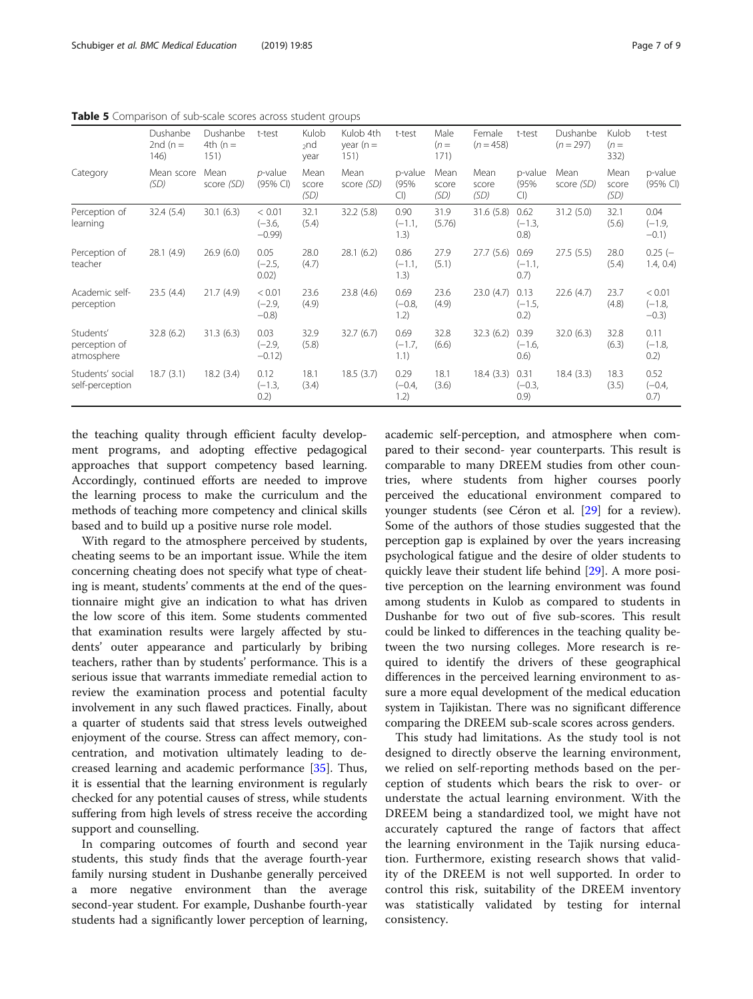|                                          | Dushanbe<br>2nd ( $n =$<br>146) | Dushanbe<br>4th ( $n =$<br>151) | t-test                         | Kulob<br>$_{2}$ nd<br>year | Kulob 4th<br>year $(n =$<br>151) | t-test                   | Male<br>$(n=$<br>171) | Female<br>$(n = 458)$ | t-test                    | Dushanbe<br>$(n = 297)$ | Kulob<br>$(n=$<br>332) | t-test                         |
|------------------------------------------|---------------------------------|---------------------------------|--------------------------------|----------------------------|----------------------------------|--------------------------|-----------------------|-----------------------|---------------------------|-------------------------|------------------------|--------------------------------|
| Category                                 | Mean score<br>(SD)              | Mean<br>score (SD)              | $p$ -value<br>$(95%$ CI)       | Mean<br>score<br>(SD)      | Mean<br>score (SD)               | p-value<br>(95%<br>Cl    | Mean<br>score<br>(SD) | Mean<br>score<br>(SD) | p-value<br>(95%<br>Cl     | Mean<br>score (SD)      | Mean<br>score<br>(SD)  | p-value<br>(95% CI)            |
| Perception of<br>learning                | 32.4(5.4)                       | 30.1(6.3)                       | < 0.01<br>$(-3.6,$<br>$-0.99$  | 32.1<br>(5.4)              | 32.2 (5.8)                       | 0.90<br>$(-1.1,$<br>1.3) | 31.9<br>(5.76)        | 31.6 (5.8)            | 0.62<br>$(-1.3,$<br>(0.8) | 31.2 (5.0)              | 32.1<br>(5.6)          | 0.04<br>$(-1.9,$<br>$-0.1)$    |
| Perception of<br>teacher                 | 28.1(4.9)                       | 26.9(6.0)                       | 0.05<br>$(-2.5,$<br>0.02)      | 28.0<br>(4.7)              | 28.1(6.2)                        | 0.86<br>$(-1.1,$<br>1.3) | 27.9<br>(5.1)         | 27.7(5.6)             | 0.69<br>$(-1.1,$<br>0.7)  | 27.5(5.5)               | 28.0<br>(5.4)          | $0.25$ (-<br>1.4, 0.4)         |
| Academic self-<br>perception             | 23.5(4.4)                       | 21.7(4.9)                       | < 0.01<br>$(-2.9,$<br>$-0.8$ ) | 23.6<br>(4.9)              | 23.8 (4.6)                       | 0.69<br>$(-0.8,$<br>1.2) | 23.6<br>(4.9)         | 23.0(4.7)             | 0.13<br>$(-1.5,$<br>0.2)  | 22.6(4.7)               | 23.7<br>(4.8)          | < 0.01<br>$(-1.8,$<br>$-0.3$ ) |
| Students'<br>perception of<br>atmosphere | 32.8(6.2)                       | 31.3(6.3)                       | 0.03<br>$(-2.9,$<br>$-0.12$    | 32.9<br>(5.8)              | 32.7(6.7)                        | 0.69<br>$(-1.7,$<br>1.1) | 32.8<br>(6.6)         | 32.3(6.2)             | 0.39<br>$(-1.6,$<br>0.6)  | 32.0(6.3)               | 32.8<br>(6.3)          | 0.11<br>$(-1.8,$<br>0.2)       |
| Students' social<br>self-perception      | 18.7(3.1)                       | 18.2(3.4)                       | 0.12<br>$(-1.3,$<br>0.2)       | 18.1<br>(3.4)              | 18.5(3.7)                        | 0.29<br>$(-0.4,$<br>1.2) | 18.1<br>(3.6)         | 18.4(3.3)             | 0.31<br>$(-0.3,$<br>(0.9) | 18.4(3.3)               | 18.3<br>(3.5)          | 0.52<br>$(-0.4,$<br>0.7)       |

<span id="page-6-0"></span>Table 5 Comparison of sub-scale scores across student groups

the teaching quality through efficient faculty development programs, and adopting effective pedagogical approaches that support competency based learning. Accordingly, continued efforts are needed to improve the learning process to make the curriculum and the methods of teaching more competency and clinical skills based and to build up a positive nurse role model.

With regard to the atmosphere perceived by students, cheating seems to be an important issue. While the item concerning cheating does not specify what type of cheating is meant, students' comments at the end of the questionnaire might give an indication to what has driven the low score of this item. Some students commented that examination results were largely affected by students' outer appearance and particularly by bribing teachers, rather than by students' performance. This is a serious issue that warrants immediate remedial action to review the examination process and potential faculty involvement in any such flawed practices. Finally, about a quarter of students said that stress levels outweighed enjoyment of the course. Stress can affect memory, concentration, and motivation ultimately leading to decreased learning and academic performance [\[35](#page-8-0)]. Thus, it is essential that the learning environment is regularly checked for any potential causes of stress, while students suffering from high levels of stress receive the according support and counselling.

In comparing outcomes of fourth and second year students, this study finds that the average fourth-year family nursing student in Dushanbe generally perceived a more negative environment than the average second-year student. For example, Dushanbe fourth-year students had a significantly lower perception of learning,

academic self-perception, and atmosphere when compared to their second- year counterparts. This result is comparable to many DREEM studies from other countries, where students from higher courses poorly perceived the educational environment compared to younger students (see Céron et al. [[29\]](#page-8-0) for a review). Some of the authors of those studies suggested that the perception gap is explained by over the years increasing psychological fatigue and the desire of older students to quickly leave their student life behind [[29\]](#page-8-0). A more positive perception on the learning environment was found among students in Kulob as compared to students in Dushanbe for two out of five sub-scores. This result could be linked to differences in the teaching quality between the two nursing colleges. More research is required to identify the drivers of these geographical differences in the perceived learning environment to assure a more equal development of the medical education system in Tajikistan. There was no significant difference comparing the DREEM sub-scale scores across genders.

This study had limitations. As the study tool is not designed to directly observe the learning environment, we relied on self-reporting methods based on the perception of students which bears the risk to over- or understate the actual learning environment. With the DREEM being a standardized tool, we might have not accurately captured the range of factors that affect the learning environment in the Tajik nursing education. Furthermore, existing research shows that validity of the DREEM is not well supported. In order to control this risk, suitability of the DREEM inventory was statistically validated by testing for internal consistency.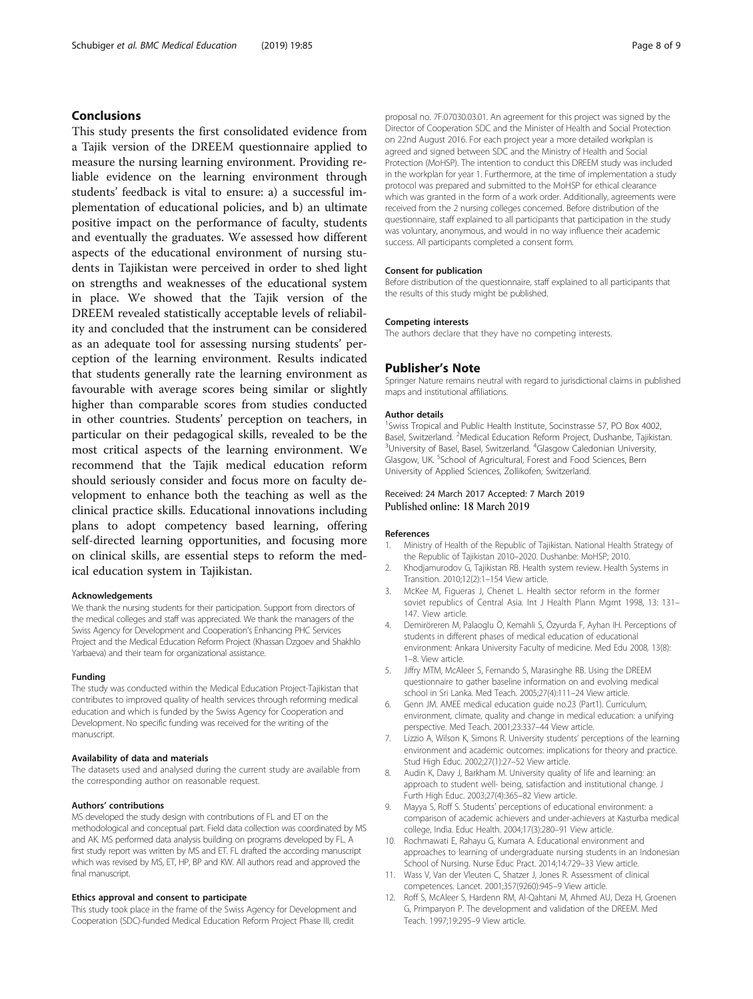## <span id="page-7-0"></span>Conclusions

This study presents the first consolidated evidence from a Tajik version of the DREEM questionnaire applied to measure the nursing learning environment. Providing reliable evidence on the learning environment through students' feedback is vital to ensure: a) a successful implementation of educational policies, and b) an ultimate positive impact on the performance of faculty, students and eventually the graduates. We assessed how different aspects of the educational environment of nursing students in Tajikistan were perceived in order to shed light on strengths and weaknesses of the educational system in place. We showed that the Tajik version of the DREEM revealed statistically acceptable levels of reliability and concluded that the instrument can be considered as an adequate tool for assessing nursing students' perception of the learning environment. Results indicated that students generally rate the learning environment as favourable with average scores being similar or slightly higher than comparable scores from studies conducted in other countries. Students' perception on teachers, in particular on their pedagogical skills, revealed to be the most critical aspects of the learning environment. We recommend that the Tajik medical education reform should seriously consider and focus more on faculty development to enhance both the teaching as well as the clinical practice skills. Educational innovations including plans to adopt competency based learning, offering self-directed learning opportunities, and focusing more on clinical skills, are essential steps to reform the medical education system in Tajikistan.

#### Acknowledgements

We thank the nursing students for their participation. Support from directors of the medical colleges and staff was appreciated. We thank the managers of the Swiss Agency for Development and Cooperation's Enhancing PHC Services Project and the Medical Education Reform Project (Khassan Dzgoev and Shakhlo Yarbaeva) and their team for organizational assistance.

#### Funding

The study was conducted within the Medical Education Project-Tajikistan that contributes to improved quality of health services through reforming medical education and which is funded by the Swiss Agency for Cooperation and Development. No specific funding was received for the writing of the manuscript.

#### Availability of data and materials

The datasets used and analysed during the current study are available from the corresponding author on reasonable request.

#### Authors' contributions

MS developed the study design with contributions of FL and ET on the methodological and conceptual part. Field data collection was coordinated by MS and AK. MS performed data analysis building on programs developed by FL. A first study report was written by MS and ET. FL drafted the according manuscript which was revised by MS, ET, HP, BP and KW. All authors read and approved the final manuscript.

#### Ethics approval and consent to participate

This study took place in the frame of the Swiss Agency for Development and Cooperation (SDC)-funded Medical Education Reform Project Phase III, credit

proposal no. 7F.07030.03.01. An agreement for this project was signed by the Director of Cooperation SDC and the Minister of Health and Social Protection on 22nd August 2016. For each project year a more detailed workplan is agreed and signed between SDC and the Ministry of Health and Social Protection (MoHSP). The intention to conduct this DREEM study was included in the workplan for year 1. Furthermore, at the time of implementation a study protocol was prepared and submitted to the MoHSP for ethical clearance which was granted in the form of a work order. Additionally, agreements were received from the 2 nursing colleges concerned. Before distribution of the questionnaire, staff explained to all participants that participation in the study was voluntary, anonymous, and would in no way influence their academic success. All participants completed a consent form.

#### Consent for publication

Before distribution of the questionnaire, staff explained to all participants that the results of this study might be published.

#### Competing interests

The authors declare that they have no competing interests.

#### Publisher's Note

Springer Nature remains neutral with regard to jurisdictional claims in published maps and institutional affiliations.

#### Author details

<sup>1</sup> Swiss Tropical and Public Health Institute, Socinstrasse 57, PO Box 4002, Basel, Switzerland. <sup>2</sup>Medical Education Reform Project, Dushanbe, Tajikistan.<br><sup>3</sup>University of Basel, Basel, Switzerland, <sup>4</sup>Glasgow Caledonian University. University of Basel, Basel, Switzerland. <sup>4</sup>Glasgow Caledonian University, Glasgow, UK. <sup>5</sup>School of Agricultural, Forest and Food Sciences, Bern University of Applied Sciences, Zollikofen, Switzerland.

## Received: 24 March 2017 Accepted: 7 March 2019 Published online: 18 March 2019

#### References

- 1. Ministry of Health of the Republic of Tajikistan. National Health Strategy of the Republic of Tajikistan 2010–2020. Dushanbe: MoHSP; 2010.
- 2. Khodjamurodov G, Tajikistan RB. Health system review. Health Systems in Transition. 2010;12(2):1–154 View article.
- 3. McKee M, Figueras J, Chenet L. Health sector reform in the former soviet republics of Central Asia. Int J Health Plann Mgmt 1998, 13: 131– 147. View article.
- 4. Demiröreren M, Palaoglu Ö, Kemahli S, Özyurda F, Ayhan IH. Perceptions of students in different phases of medical education of educational environment: Ankara University Faculty of medicine. Med Edu 2008, 13(8): 1–8. View article.
- 5. Jiffry MTM, McAleer S, Fernando S, Marasinghe RB. Using the DREEM questionnaire to gather baseline information on and evolving medical school in Sri Lanka. Med Teach. 2005;27(4):111–24 View article.
- 6. Genn JM. AMEE medical education guide no.23 (Part1). Curriculum, environment, climate, quality and change in medical education: a unifying perspective. Med Teach. 2001;23:337–44 View article.
- 7. Lizzio A, Wilson K, Simons R. University students' perceptions of the learning environment and academic outcomes: implications for theory and practice. Stud High Educ. 2002;27(1):27–52 View article.
- 8. Audin K, Davy J, Barkham M. University quality of life and learning: an approach to student well- being, satisfaction and institutional change. J Furth High Educ. 2003;27(4):365–82 View article.
- 9. Mayya S, Roff S. Students' perceptions of educational environment: a comparison of academic achievers and under-achievers at Kasturba medical college, India. Educ Health. 2004;17(3):280–91 View article.
- 10. Rochmawati E, Rahayu G, Kumara A. Educational environment and approaches to learning of undergraduate nursing students in an Indonesian School of Nursing. Nurse Educ Pract. 2014;14:729–33 View article.
- 11. Wass V, Van der Vleuten C, Shatzer J, Jones R. Assessment of clinical competences. Lancet. 2001;357(9260):945–9 View article.
- 12. Roff S, McAleer S, Hardenn RM, Al-Qahtani M, Ahmed AU, Deza H, Groenen G, Primparyon P. The development and validation of the DREEM. Med Teach. 1997;19:295–9 View article.